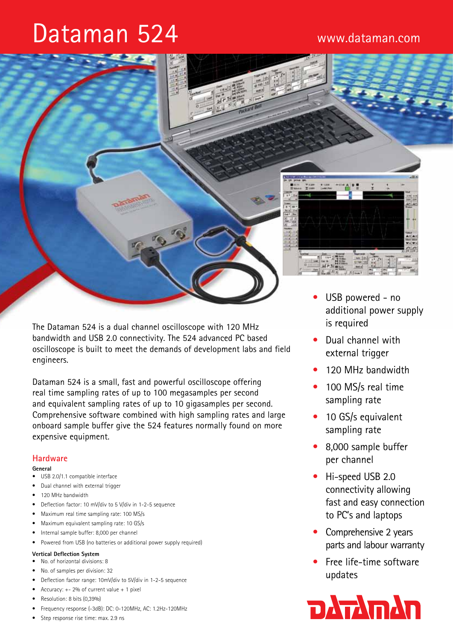# Dataman 524



The Dataman 524 is a dual channel oscilloscope with 120 MHz bandwidth and USB 2.0 connectivity. The 524 advanced PC based oscilloscope is built to meet the demands of development labs and field engineers.

Dataman 524 is a small, fast and powerful oscilloscope offering real time sampling rates of up to 100 megasamples per second and equivalent sampling rates of up to 10 gigasamples per second. Comprehensive software combined with high sampling rates and large onboard sample buffer give the 524 features normally found on more expensive equipment.

# **Hardware**

#### **General**

- USB 2.0/1.1 compatible interface
- • Dual channel with external trigger
- 120 MHz bandwidth
- Deflection factor: 10 mV/div to 5 V/div in 1-2-5 sequence
- Maximum real time sampling rate: 100 MS/s
- • Maximum equivalent sampling rate: 10 GS/s
- Internal sample buffer: 8,000 per channel
- Powered from USB (no batteries or additional power supply required)

# **Vertical Deflection System**

- • No. of horizontal divisions: 8
- No. of samples per division: 32
- Deflection factor range: 10mV/div to 5V/div in 1-2-5 sequence
- Accuracy:  $+- 2%$  of current value  $+ 1$  pixel
- Resolution: 8 bits (0,39%)
- Frequency response (-3dB): DC: 0-120MHz, AC: 1.2Hz-120MHz
- Step response rise time: max. 2.9 ns
- additional power supply is required
- Dual channel with external trigger
- 120 MHz bandwidth
- 100 MS/s real time sampling rate
- 10 GS/s equivalent sampling rate
- 8,000 sample buffer per channel
- Hi-speed USB 2.0 connectivity allowing fast and easy connection to PC's and laptops
- Comprehensive 2 years parts and labour warranty
- Free life-time software updates